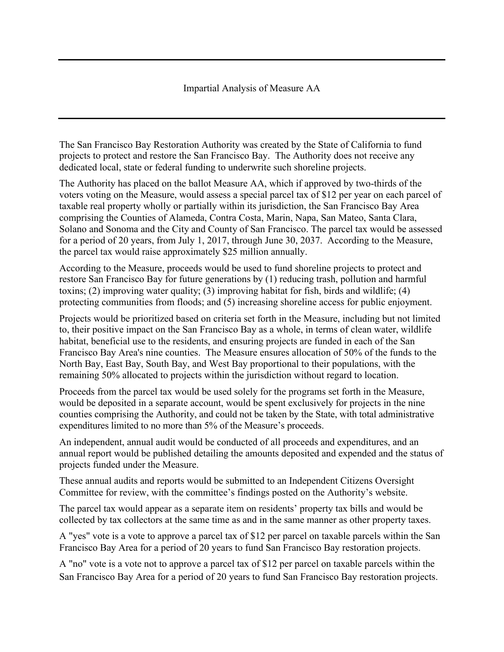## Impartial Analysis of Measure AA

The San Francisco Bay Restoration Authority was created by the State of California to fund projects to protect and restore the San Francisco Bay. The Authority does not receive any dedicated local, state or federal funding to underwrite such shoreline projects.

The Authority has placed on the ballot Measure AA, which if approved by two-thirds of the voters voting on the Measure, would assess a special parcel tax of \$12 per year on each parcel of taxable real property wholly or partially within its jurisdiction, the San Francisco Bay Area comprising the Counties of Alameda, Contra Costa, Marin, Napa, San Mateo, Santa Clara, Solano and Sonoma and the City and County of San Francisco. The parcel tax would be assessed for a period of 20 years, from July 1, 2017, through June 30, 2037. According to the Measure, the parcel tax would raise approximately \$25 million annually.

According to the Measure, proceeds would be used to fund shoreline projects to protect and restore San Francisco Bay for future generations by (1) reducing trash, pollution and harmful toxins; (2) improving water quality; (3) improving habitat for fish, birds and wildlife; (4) protecting communities from floods; and (5) increasing shoreline access for public enjoyment.

Projects would be prioritized based on criteria set forth in the Measure, including but not limited to, their positive impact on the San Francisco Bay as a whole, in terms of clean water, wildlife habitat, beneficial use to the residents, and ensuring projects are funded in each of the San Francisco Bay Area's nine counties. The Measure ensures allocation of 50% of the funds to the North Bay, East Bay, South Bay, and West Bay proportional to their populations, with the remaining 50% allocated to projects within the jurisdiction without regard to location.

Proceeds from the parcel tax would be used solely for the programs set forth in the Measure, would be deposited in a separate account, would be spent exclusively for projects in the nine counties comprising the Authority, and could not be taken by the State, with total administrative expenditures limited to no more than 5% of the Measure's proceeds.

An independent, annual audit would be conducted of all proceeds and expenditures, and an annual report would be published detailing the amounts deposited and expended and the status of projects funded under the Measure.

These annual audits and reports would be submitted to an Independent Citizens Oversight Committee for review, with the committee's findings posted on the Authority's website.

The parcel tax would appear as a separate item on residents' property tax bills and would be collected by tax collectors at the same time as and in the same manner as other property taxes.

A "yes" vote is a vote to approve a parcel tax of \$12 per parcel on taxable parcels within the San Francisco Bay Area for a period of 20 years to fund San Francisco Bay restoration projects.

A "no" vote is a vote not to approve a parcel tax of \$12 per parcel on taxable parcels within the San Francisco Bay Area for a period of 20 years to fund San Francisco Bay restoration projects.